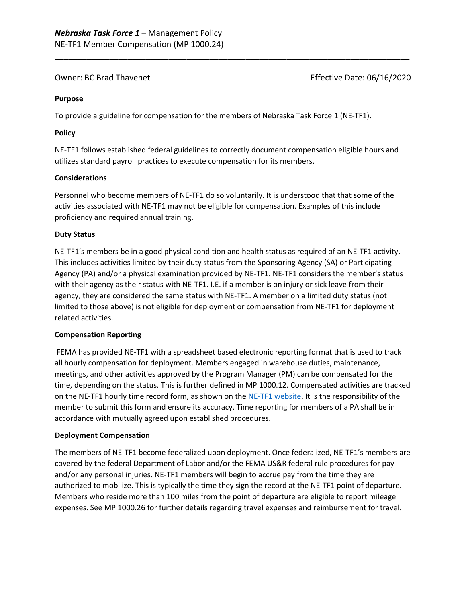Owner: BC Brad Thavenet **Effective Date: 06/16/2020** 

#### **Purpose**

To provide a guideline for compensation for the members of Nebraska Task Force 1 (NE-TF1).

### **Policy**

NE-TF1 follows established federal guidelines to correctly document compensation eligible hours and utilizes standard payroll practices to execute compensation for its members.

\_\_\_\_\_\_\_\_\_\_\_\_\_\_\_\_\_\_\_\_\_\_\_\_\_\_\_\_\_\_\_\_\_\_\_\_\_\_\_\_\_\_\_\_\_\_\_\_\_\_\_\_\_\_\_\_\_\_\_\_\_\_\_\_\_\_\_\_\_\_\_\_\_\_\_\_\_\_

#### **Considerations**

Personnel who become members of NE-TF1 do so voluntarily. It is understood that that some of the activities associated with NE-TF1 may not be eligible for compensation. Examples of this include proficiency and required annual training.

## **Duty Status**

NE-TF1's members be in a good physical condition and health status as required of an NE-TF1 activity. This includes activities limited by their duty status from the Sponsoring Agency (SA) or Participating Agency (PA) and/or a physical examination provided by NE-TF1. NE-TF1 considers the member's status with their agency as their status with NE-TF1. I.E. if a member is on injury or sick leave from their agency, they are considered the same status with NE-TF1. A member on a limited duty status (not limited to those above) is not eligible for deployment or compensation from NE-TF1 for deployment related activities.

#### **Compensation Reporting**

FEMA has provided NE-TF1 with a spreadsheet based electronic reporting format that is used to track all hourly compensation for deployment. Members engaged in warehouse duties, maintenance, meetings, and other activities approved by the Program Manager (PM) can be compensated for the time, depending on the status. This is further defined in MP 1000.12. Compensated activities are tracked on the NE-TF1 hourly time record form, as shown on the [NE-TF1 website.](https://www.nebraskataskforce1.com/forms) It is the responsibility of the member to submit this form and ensure its accuracy. Time reporting for members of a PA shall be in accordance with mutually agreed upon established procedures.

#### **Deployment Compensation**

The members of NE-TF1 become federalized upon deployment. Once federalized, NE-TF1's members are covered by the federal Department of Labor and/or the FEMA US&R federal rule procedures for pay and/or any personal injuries. NE-TF1 members will begin to accrue pay from the time they are authorized to mobilize. This is typically the time they sign the record at the NE-TF1 point of departure. Members who reside more than 100 miles from the point of departure are eligible to report mileage expenses. See MP 1000.26 for further details regarding travel expenses and reimbursement for travel.